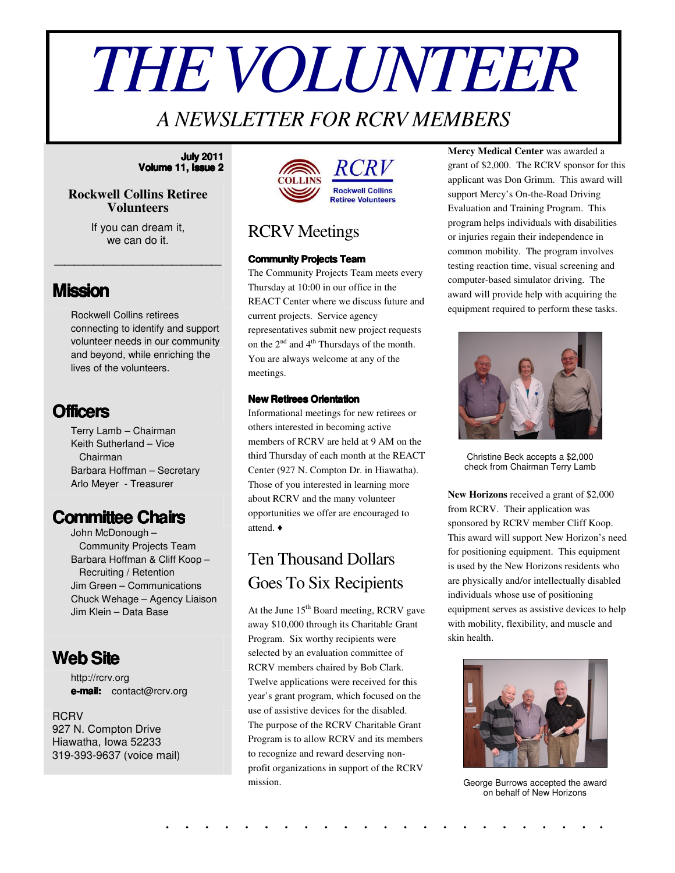# *THEVOLUNTEER*

# *A NEWSLETTER FOR RCRV MEMBERS*

#### **July 2011 Volume 11, Issue 2**

#### **Rockwell Collins Retiree Volunteers**

If you can dream it, we can do it.

\_\_\_\_\_\_\_\_\_\_\_\_\_\_\_\_\_

### **Mission**

Rockwell Collins retirees connecting to identify and support volunteer needs in our community and beyond, while enriching the lives of the volunteers.

## **Officers**

Terry Lamb – Chairman Keith Sutherland – Vice Chairman Barbara Hoffman – Secretary Arlo Meyer - Treasurer

## **Committee Chairs**

John McDonough – Community Projects Team Barbara Hoffman & Cliff Koop – Recruiting / Retention Jim Green – Communications Chuck Wehage – Agency Liaison Jim Klein – Data Base

## **WebSite**

http://rcrv.org **e-mail:** contact@rcrv.org

**RCRV** 927 N. Compton Drive Hiawatha, Iowa 52233 319-393-9637 (voice mail)



## RCRV Meetings

#### **Community Projects Team**

The Community Projects Team meets every Thursday at 10:00 in our office in the REACT Center where we discuss future and current projects. Service agency representatives submit new project requests on the  $2^{nd}$  and  $4^{th}$  Thursdays of the month. You are always welcome at any of the meetings.

#### **New Retirees Orientation**

Informational meetings for new retirees or others interested in becoming active members of RCRV are held at 9 AM on the third Thursday of each month at the REACT Center (927 N. Compton Dr. in Hiawatha). Those of you interested in learning more about RCRV and the many volunteer opportunities we offer are encouraged to attend.

## Ten Thousand Dollars Goes To Six Recipients

At the June 15<sup>th</sup> Board meeting, RCRV gave away \$10,000 through its Charitable Grant Program. Six worthy recipients were selected by an evaluation committee of RCRV members chaired by Bob Clark. Twelve applications were received for this year's grant program, which focused on the use of assistive devices for the disabled. The purpose of the RCRV Charitable Grant Program is to allow RCRV and its members to recognize and reward deserving nonprofit organizations in support of the RCRV mission.

. . . . . . . . . . . . . . . . . . . . . . .

**Mercy Medical Center** was awarded a grant of \$2,000. The RCRV sponsor for this applicant was Don Grimm. This award will support Mercy's On-the-Road Driving Evaluation and Training Program. This program helps individuals with disabilities or injuries regain their independence in common mobility. The program involves testing reaction time, visual screening and computer-based simulator driving. The award will provide help with acquiring the equipment required to perform these tasks.



Christine Beck accepts a \$2,000 check from Chairman Terry Lamb

**New Horizons** received a grant of \$2,000 from RCRV. Their application was sponsored by RCRV member Cliff Koop. This award will support New Horizon's need for positioning equipment. This equipment is used by the New Horizons residents who are physically and/or intellectually disabled individuals whose use of positioning equipment serves as assistive devices to help with mobility, flexibility, and muscle and skin health.



George Burrows accepted the award on behalf of New Horizons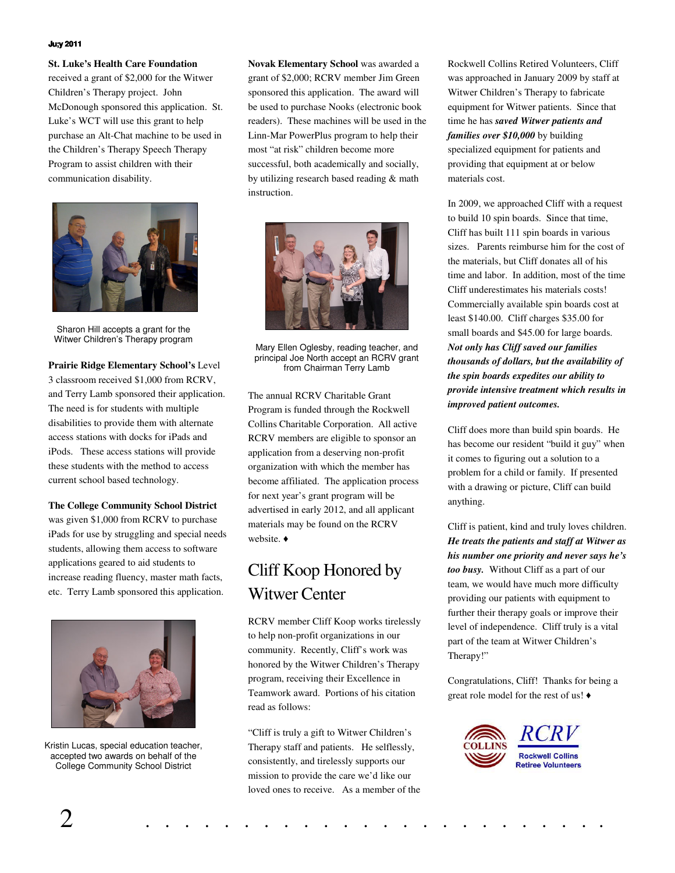#### **Ju;y 2011**

**St. Luke's Health Care Foundation** received a grant of \$2,000 for the Witwer Children's Therapy project. John McDonough sponsored this application. St. Luke's WCT will use this grant to help purchase an Alt-Chat machine to be used in the Children's Therapy Speech Therapy Program to assist children with their communication disability.



Sharon Hill accepts a grant for the Witwer Children's Therapy program

**Prairie Ridge Elementary School's** Level 3 classroom received \$1,000 from RCRV, and Terry Lamb sponsored their application. The need is for students with multiple disabilities to provide them with alternate access stations with docks for iPads and iPods. These access stations will provide these students with the method to access current school based technology.

**The College Community School District**

was given \$1,000 from RCRV to purchase iPads for use by struggling and special needs students, allowing them access to software applications geared to aid students to increase reading fluency, master math facts, etc. Terry Lamb sponsored this application.



Kristin Lucas, special education teacher, accepted two awards on behalf of the College Community School District

**Novak Elementary School** was awarded a grant of \$2,000; RCRV member Jim Green sponsored this application. The award will be used to purchase Nooks (electronic book readers). These machines will be used in the Linn-Mar PowerPlus program to help their most "at risk" children become more successful, both academically and socially, by utilizing research based reading & math instruction.



Mary Ellen Oglesby, reading teacher, and principal Joe North accept an RCRV grant from Chairman Terry Lamb

The annual RCRV Charitable Grant Program is funded through the Rockwell Collins Charitable Corporation. All active RCRV members are eligible to sponsor an application from a deserving non-profit organization with which the member has become affiliated. The application process for next year's grant program will be advertised in early 2012, and all applicant materials may be found on the RCRV website.  $\bullet$ 

## Cliff Koop Honored by Witwer Center

RCRV member Cliff Koop works tirelessly to help non-profit organizations in our community. Recently, Cliff's work was honored by the Witwer Children's Therapy program, receiving their Excellence in Teamwork award. Portions of his citation read as follows:

"Cliff is truly a gift to Witwer Children's Therapy staff and patients. He selflessly, consistently, and tirelessly supports our mission to provide the care we'd like our loved ones to receive. As a member of the Rockwell Collins Retired Volunteers, Cliff was approached in January 2009 by staff at Witwer Children's Therapy to fabricate equipment for Witwer patients. Since that time he has *saved Witwer patients and families over \$10,000* by building specialized equipment for patients and providing that equipment at or below materials cost.

In 2009, we approached Cliff with a request to build 10 spin boards. Since that time, Cliff has built 111 spin boards in various sizes. Parents reimburse him for the cost of the materials, but Cliff donates all of his time and labor. In addition, most of the time Cliff underestimates his materials costs! Commercially available spin boards cost at least \$140.00. Cliff charges \$35.00 for small boards and \$45.00 for large boards. *Not only has Cliff saved our families thousands of dollars, but the availability of the spin boards expedites our ability to provide intensive treatment which results in improved patient outcomes.*

Cliff does more than build spin boards. He has become our resident "build it guy" when it comes to figuring out a solution to a problem for a child or family. If presented with a drawing or picture, Cliff can build anything.

Cliff is patient, kind and truly loves children. *He treats the patients and staff at Witwer as his number one priority and never says he's too busy.* Without Cliff as a part of our team, we would have much more difficulty providing our patients with equipment to further their therapy goals or improve their level of independence. Cliff truly is a vital part of the team at Witwer Children's Therapy!"

Congratulations, Cliff! Thanks for being a great role model for the rest of us!

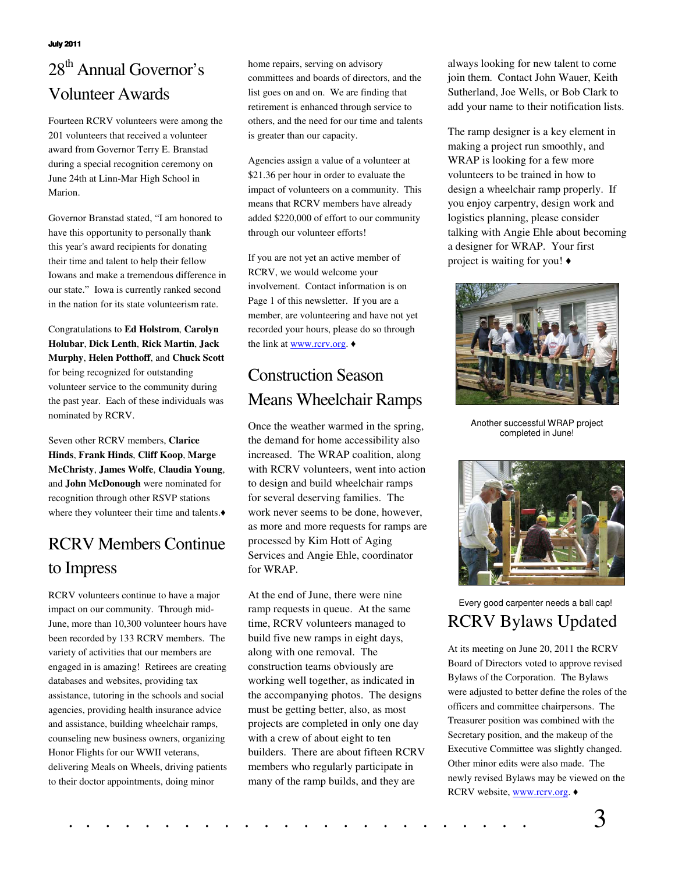#### **July 2011**

# 28<sup>th</sup> Annual Governor's Volunteer Awards

Fourteen RCRV volunteers were among the 201 volunteers that received a volunteer award from Governor Terry E. Branstad during a special recognition ceremony on June 24th at Linn-Mar High School in Marion.

Governor Branstad stated, "I am honored to have this opportunity to personally thank this year's award recipients for donating their time and talent to help their fellow Iowans and make a tremendous difference in our state." Iowa is currently ranked second in the nation for its state volunteerism rate.

Congratulations to **Ed Holstrom**, **Carolyn Holubar**, **Dick Lenth**, **Rick Martin**, **Jack Murphy**, **Helen Potthoff**, and **Chuck Scott** for being recognized for outstanding volunteer service to the community during the past year. Each of these individuals was nominated by RCRV.

Seven other RCRV members, **Clarice Hinds**, **Frank Hinds**, **Cliff Koop**, **Marge McChristy**, **James Wolfe**, **Claudia Young**, and **John McDonough** were nominated for recognition through other RSVP stations where they volunteer their time and talents.

# RCRV Members Continue to Impress

RCRV volunteers continue to have a major impact on our community. Through mid-June, more than 10,300 volunteer hours have been recorded by 133 RCRV members. The variety of activities that our members are engaged in is amazing! Retirees are creating databases and websites, providing tax assistance, tutoring in the schools and social agencies, providing health insurance advice and assistance, building wheelchair ramps, counseling new business owners, organizing Honor Flights for our WWII veterans, delivering Meals on Wheels, driving patients to their doctor appointments, doing minor

home repairs, serving on advisory committees and boards of directors, and the list goes on and on. We are finding that retirement is enhanced through service to others, and the need for our time and talents is greater than our capacity.

Agencies assign a value of a volunteer at \$21.36 per hour in order to evaluate the impact of volunteers on a community. This means that RCRV members have already added \$220,000 of effort to our community through our volunteer efforts!

If you are not yet an active member of RCRV, we would welcome your involvement. Contact information is on Page 1 of this newsletter. If you are a member, are volunteering and have not yet recorded your hours, please do so through the link at www.rcrv.org.  $\triangleleft$ 

## Construction Season Means Wheelchair Ramps

Once the weather warmed in the spring, the demand for home accessibility also increased. The WRAP coalition, along with RCRV volunteers, went into action to design and build wheelchair ramps for several deserving families. The work never seems to be done, however, as more and more requests for ramps are processed by Kim Hott of Aging Services and Angie Ehle, coordinator for WRAP.

At the end of June, there were nine ramp requests in queue. At the same time, RCRV volunteers managed to build five new ramps in eight days, along with one removal. The construction teams obviously are working well together, as indicated in the accompanying photos. The designs must be getting better, also, as most projects are completed in only one day with a crew of about eight to ten builders. There are about fifteen RCRV members who regularly participate in many of the ramp builds, and they are

always looking for new talent to come join them. Contact John Wauer, Keith Sutherland, Joe Wells, or Bob Clark to add your name to their notification lists.

The ramp designer is a key element in making a project run smoothly, and WRAP is looking for a few more volunteers to be trained in how to design a wheelchair ramp properly. If you enjoy carpentry, design work and logistics planning, please consider talking with Angie Ehle about becoming a designer for WRAP. Your first project is waiting for you!



Another successful WRAP project completed in June!



RCRV Bylaws Updated Every good carpenter needs a ball cap!

At its meeting on June 20, 2011 the RCRV Board of Directors voted to approve revised Bylaws of the Corporation. The Bylaws were adjusted to better define the roles of the officers and committee chairpersons. The Treasurer position was combined with the Secretary position, and the makeup of the Executive Committee was slightly changed. Other minor edits were also made. The newly revised Bylaws may be viewed on the RCRV website, www.rcrv.org.